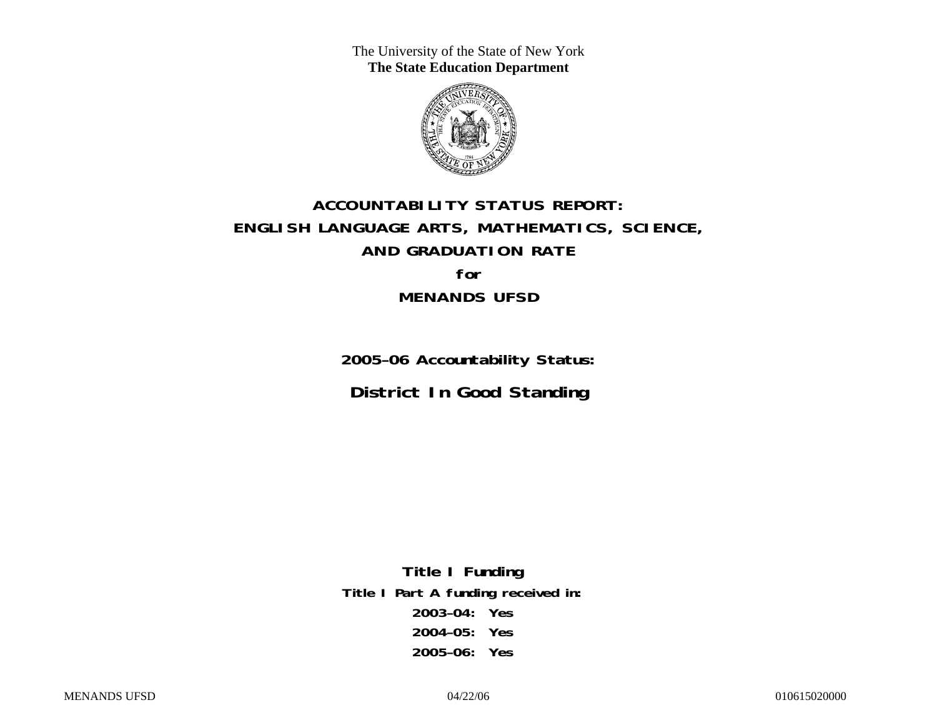The University of the State of New York **The State Education Department** 



# **ACCOUNTABILITY STATUS REPORT: ENGLISH LANGUAGE ARTS, MATHEMATICS, SCIENCE, AND GRADUATION RATE for MENANDS UFSD**

**2005–06 Accountability Status: District In Good Standing** 

**Title I Funding Title I Part A funding received in: 2003–04: Yes 2004–05: Yes 2005–06: Yes**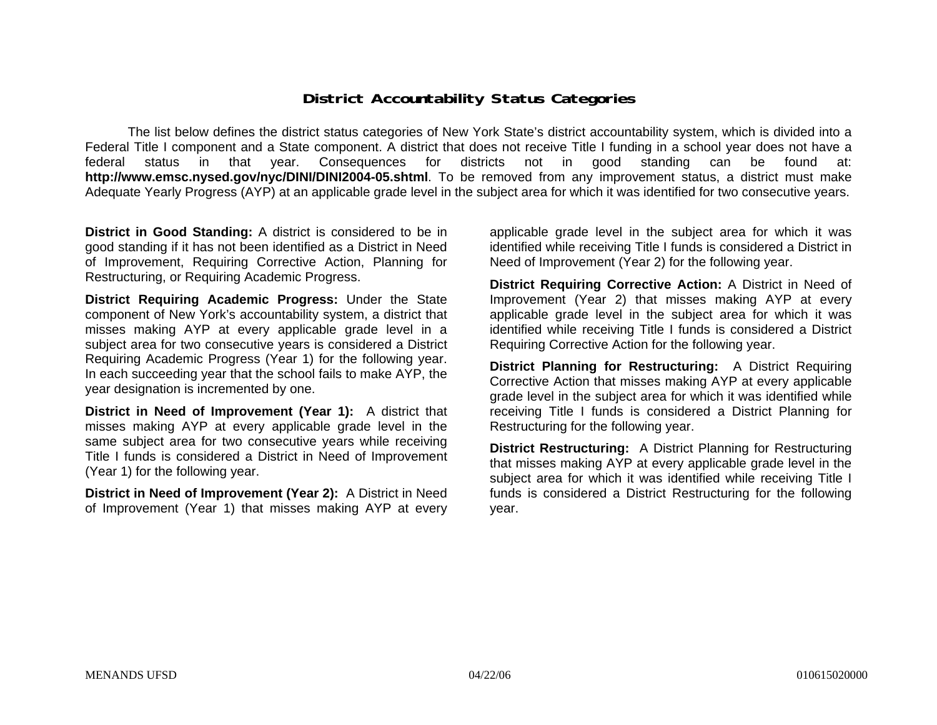### **District Accountability Status Categories**

The list below defines the district status categories of New York State's district accountability system, which is divided into a Federal Title I component and a State component. A district that does not receive Title I funding in a school year does not have a federal status in that year. Consequences for districts not in good standing can be found at: **http://www.emsc.nysed.gov/nyc/DINI/DINI2004-05.shtml**. To be removed from any improvement status, a district must make Adequate Yearly Progress (AYP) at an applicable grade level in the subject area for which it was identified for two consecutive years.

**District in Good Standing:** A district is considered to be in good standing if it has not been identified as a District in Need of Improvement, Requiring Corrective Action, Planning for Restructuring, or Requiring Academic Progress.

**District Requiring Academic Progress:** Under the State component of New York's accountability system, a district that misses making AYP at every applicable grade level in a subject area for two consecutive years is considered a District Requiring Academic Progress (Year 1) for the following year. In each succeeding year that the school fails to make AYP, the year designation is incremented by one.

**District in Need of Improvement (Year 1):** A district that misses making AYP at every applicable grade level in the same subject area for two consecutive years while receiving Title I funds is considered a District in Need of Improvement (Year 1) for the following year.

**District in Need of Improvement (Year 2):** A District in Need of Improvement (Year 1) that misses making AYP at every

applicable grade level in the subject area for which it was identified while receiving Title I funds is considered a District in Need of Improvement (Year 2) for the following year.

**District Requiring Corrective Action:** A District in Need of Improvement (Year 2) that misses making AYP at every applicable grade level in the subject area for which it was identified while receiving Title I funds is considered a District Requiring Corrective Action for the following year.

**District Planning for Restructuring:** A District Requiring Corrective Action that misses making AYP at every applicable grade level in the subject area for which it was identified while receiving Title I funds is considered a District Planning for Restructuring for the following year.

**District Restructuring:** A District Planning for Restructuring that misses making AYP at every applicable grade level in the subject area for which it was identified while receiving Title I funds is considered a District Restructuring for the following year.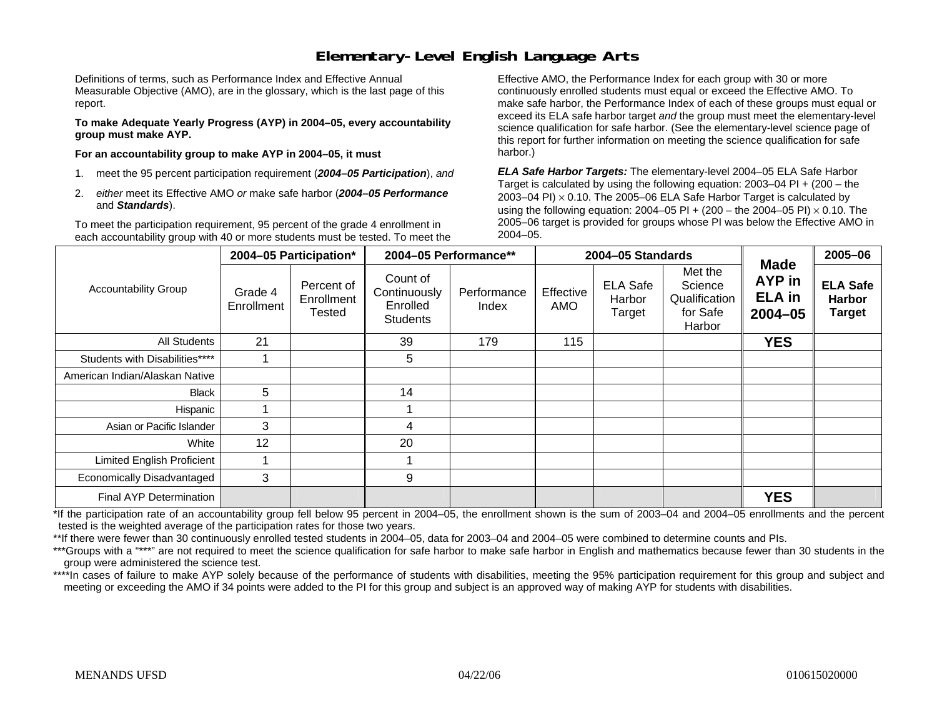## **Elementary-Level English Language Arts**

Definitions of terms, such as Performance Index and Effective Annual Measurable Objective (AMO), are in the glossary, which is the last page of this report.

**To make Adequate Yearly Progress (AYP) in 2004–05, every accountability group must make AYP.** 

**For an accountability group to make AYP in 2004–05, it must** 

- 1. meet the 95 percent participation requirement (*2004–05 Participation*), *and*
- 2. *either* meet its Effective AMO *or* make safe harbor (*2004–05 Performance*  and *Standards*).

To meet the participation requirement, 95 percent of the grade 4 enrollment in each accountability group with 40 or more students must be tested. To meet the

Effective AMO, the Performance Index for each group with 30 or more continuously enrolled students must equal or exceed the Effective AMO. To make safe harbor, the Performance Index of each of these groups must equal or exceed its ELA safe harbor target *and* the group must meet the elementary-level science qualification for safe harbor. (See the elementary-level science page of this report for further information on meeting the science qualification for safe harbor.)

*ELA Safe Harbor Targets:* The elementary-level 2004–05 ELA Safe Harbor Target is calculated by using the following equation: 2003–04 PI + (200 – the 2003–04 PI)  $\times$  0.10. The 2005–06 ELA Safe Harbor Target is calculated by using the following equation: 2004–05 PI + (200 – the 2004–05 PI) × 0.10. The 2005–06 target is provided for groups whose PI was below the Effective AMO in 2004–05.

|                                   |                       | 2004-05 Participation*             | 2004-05 Performance**                                   |                      | 2004-05 Standards |                                     |                                                           |                                                       | 2005-06                                           |
|-----------------------------------|-----------------------|------------------------------------|---------------------------------------------------------|----------------------|-------------------|-------------------------------------|-----------------------------------------------------------|-------------------------------------------------------|---------------------------------------------------|
| <b>Accountability Group</b>       | Grade 4<br>Enrollment | Percent of<br>Enrollment<br>Tested | Count of<br>Continuously<br>Enrolled<br><b>Students</b> | Performance<br>Index | Effective<br>AMO  | <b>ELA Safe</b><br>Harbor<br>Target | Met the<br>Science<br>Qualification<br>for Safe<br>Harbor | <b>Made</b><br>AYP in<br><b>ELA</b> in<br>$2004 - 05$ | <b>ELA Safe</b><br><b>Harbor</b><br><b>Target</b> |
| All Students                      | 21                    |                                    | 39                                                      | 179                  | 115               |                                     |                                                           | <b>YES</b>                                            |                                                   |
| Students with Disabilities****    |                       |                                    | 5                                                       |                      |                   |                                     |                                                           |                                                       |                                                   |
| American Indian/Alaskan Native    |                       |                                    |                                                         |                      |                   |                                     |                                                           |                                                       |                                                   |
| <b>Black</b>                      | 5                     |                                    | 14                                                      |                      |                   |                                     |                                                           |                                                       |                                                   |
| Hispanic                          |                       |                                    |                                                         |                      |                   |                                     |                                                           |                                                       |                                                   |
| Asian or Pacific Islander         | 3                     |                                    | 4                                                       |                      |                   |                                     |                                                           |                                                       |                                                   |
| White                             | 12                    |                                    | 20                                                      |                      |                   |                                     |                                                           |                                                       |                                                   |
| <b>Limited English Proficient</b> |                       |                                    |                                                         |                      |                   |                                     |                                                           |                                                       |                                                   |
| <b>Economically Disadvantaged</b> | 3                     |                                    | 9                                                       |                      |                   |                                     |                                                           |                                                       |                                                   |
| <b>Final AYP Determination</b>    |                       |                                    |                                                         |                      |                   |                                     |                                                           | <b>YES</b>                                            |                                                   |

\*If the participation rate of an accountability group fell below 95 percent in 2004–05, the enrollment shown is the sum of 2003–04 and 2004–05 enrollments and the percent tested is the weighted average of the participation rates for those two years.

\*\*If there were fewer than 30 continuously enrolled tested students in 2004–05, data for 2003–04 and 2004–05 were combined to determine counts and PIs.

\*\*\*Groups with a "\*\*\*" are not required to meet the science qualification for safe harbor to make safe harbor in English and mathematics because fewer than 30 students in the group were administered the science test.

\*\*\*\*In cases of failure to make AYP solely because of the performance of students with disabilities, meeting the 95% participation requirement for this group and subject and meeting or exceeding the AMO if 34 points were added to the PI for this group and subject is an approved way of making AYP for students with disabilities.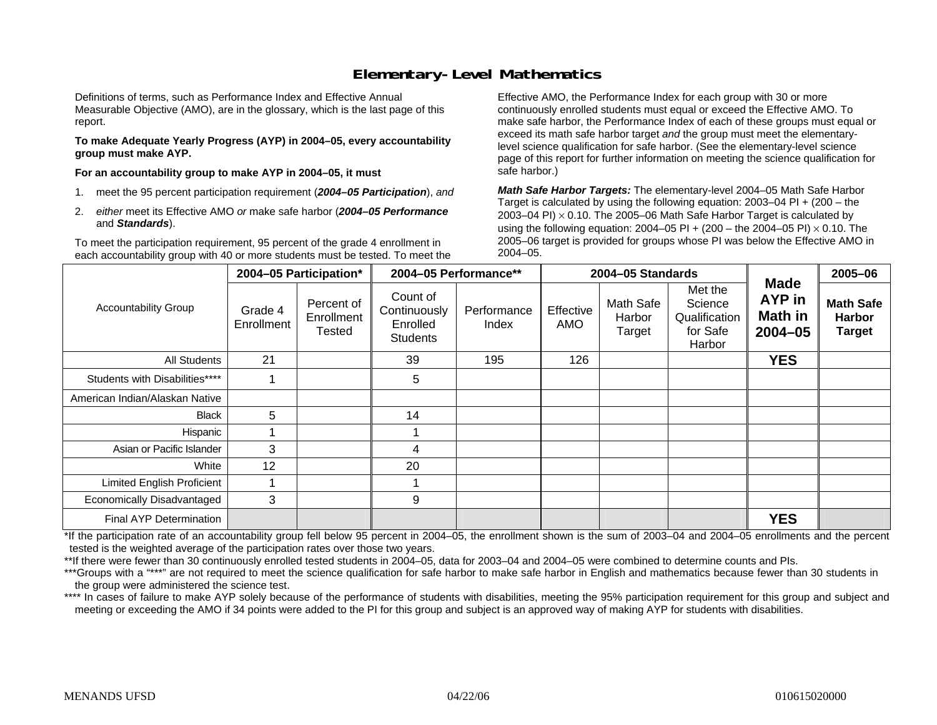## **Elementary-Level Mathematics**

Definitions of terms, such as Performance Index and Effective Annual Measurable Objective (AMO), are in the glossary, which is the last page of this report.

**To make Adequate Yearly Progress (AYP) in 2004–05, every accountability group must make AYP.** 

**For an accountability group to make AYP in 2004–05, it must** 

- 1. meet the 95 percent participation requirement (*2004–05 Participation*), *and*
- 2. *either* meet its Effective AMO *or* make safe harbor (*2004–05 Performance*  and *Standards*).

To meet the participation requirement, 95 percent of the grade 4 enrollment in each accountability group with 40 or more students must be tested. To meet the

Effective AMO, the Performance Index for each group with 30 or more continuously enrolled students must equal or exceed the Effective AMO. To make safe harbor, the Performance Index of each of these groups must equal or exceed its math safe harbor target *and* the group must meet the elementarylevel science qualification for safe harbor. (See the elementary-level science page of this report for further information on meeting the science qualification for safe harbor.)

*Math Safe Harbor Targets:* The elementary-level 2004–05 Math Safe Harbor Target is calculated by using the following equation: 2003–04 PI + (200 – the 2003–04 PI)  $\times$  0.10. The 2005–06 Math Safe Harbor Target is calculated by using the following equation: 2004–05 PI + (200 – the 2004–05 PI) × 0.10. The 2005–06 target is provided for groups whose PI was below the Effective AMO in 2004–05.

|                                   | 2004-05 Participation* |                                    | 2004-05 Performance**                                   |                      |                  | 2004-05 Standards             | <b>Made</b>                                               | 2005-06                                 |                                                    |
|-----------------------------------|------------------------|------------------------------------|---------------------------------------------------------|----------------------|------------------|-------------------------------|-----------------------------------------------------------|-----------------------------------------|----------------------------------------------------|
| <b>Accountability Group</b>       | Grade 4<br>Enrollment  | Percent of<br>Enrollment<br>Tested | Count of<br>Continuously<br>Enrolled<br><b>Students</b> | Performance<br>Index | Effective<br>AMO | Math Safe<br>Harbor<br>Target | Met the<br>Science<br>Qualification<br>for Safe<br>Harbor | <b>AYP</b> in<br>Math in<br>$2004 - 05$ | <b>Math Safe</b><br><b>Harbor</b><br><b>Target</b> |
| <b>All Students</b>               | 21                     |                                    | 39                                                      | 195                  | 126              |                               |                                                           | <b>YES</b>                              |                                                    |
| Students with Disabilities****    |                        |                                    | 5                                                       |                      |                  |                               |                                                           |                                         |                                                    |
| American Indian/Alaskan Native    |                        |                                    |                                                         |                      |                  |                               |                                                           |                                         |                                                    |
| <b>Black</b>                      | 5                      |                                    | 14                                                      |                      |                  |                               |                                                           |                                         |                                                    |
| Hispanic                          |                        |                                    |                                                         |                      |                  |                               |                                                           |                                         |                                                    |
| Asian or Pacific Islander         | 3                      |                                    | 4                                                       |                      |                  |                               |                                                           |                                         |                                                    |
| White                             | 12                     |                                    | 20                                                      |                      |                  |                               |                                                           |                                         |                                                    |
| <b>Limited English Proficient</b> |                        |                                    |                                                         |                      |                  |                               |                                                           |                                         |                                                    |
| Economically Disadvantaged        | 3                      |                                    | 9                                                       |                      |                  |                               |                                                           |                                         |                                                    |
| Final AYP Determination           |                        |                                    |                                                         |                      |                  |                               |                                                           | <b>YES</b>                              |                                                    |

\*If the participation rate of an accountability group fell below 95 percent in 2004–05, the enrollment shown is the sum of 2003–04 and 2004–05 enrollments and the percent tested is the weighted average of the participation rates over those two years.

\*\*If there were fewer than 30 continuously enrolled tested students in 2004–05, data for 2003–04 and 2004–05 were combined to determine counts and PIs.

\*\*\*Groups with a "\*\*\*" are not required to meet the science qualification for safe harbor to make safe harbor in English and mathematics because fewer than 30 students in the group were administered the science test.

\*\*\*\* In cases of failure to make AYP solely because of the performance of students with disabilities, meeting the 95% participation requirement for this group and subject and meeting or exceeding the AMO if 34 points were added to the PI for this group and subject is an approved way of making AYP for students with disabilities.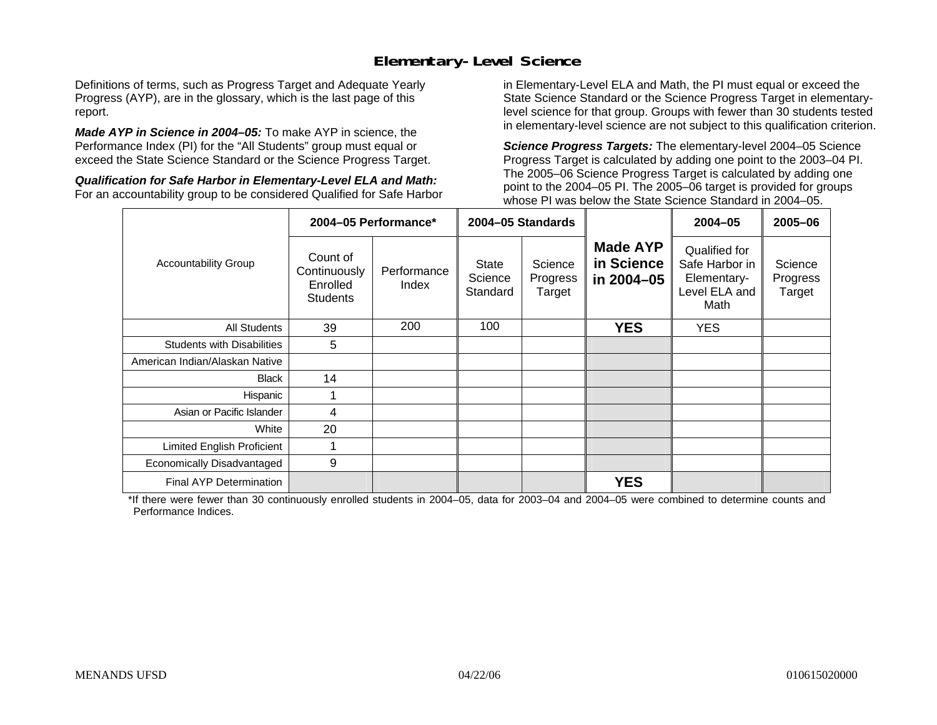## **Elementary-Level Science**

Definitions of terms, such as Progress Target and Adequate Yearly Progress (AYP), are in the glossary, which is the last page of this report.

*Made AYP in Science in 2004–05:* To make AYP in science, the Performance Index (PI) for the "All Students" group must equal or exceed the State Science Standard or the Science Progress Target.

*Qualification for Safe Harbor in Elementary-Level ELA and Math:* For an accountability group to be considered Qualified for Safe Harbor in Elementary-Level ELA and Math, the PI must equal or exceed the State Science Standard or the Science Progress Target in elementarylevel science for that group. Groups with fewer than 30 students tested in elementary-level science are not subject to this qualification criterion.

*Science Progress Targets:* The elementary-level 2004–05 Science Progress Target is calculated by adding one point to the 2003–04 PI. The 2005–06 Science Progress Target is calculated by adding one point to the 2004–05 PI. The 2005–06 target is provided for groups whose PI was below the State Science Standard in 2004–05.

|                                   |                                                         | 2004-05 Performance*                                                                         |     | 2004-05 Standards                           |                                                                         | 2004-05                       | 2005-06 |
|-----------------------------------|---------------------------------------------------------|----------------------------------------------------------------------------------------------|-----|---------------------------------------------|-------------------------------------------------------------------------|-------------------------------|---------|
| <b>Accountability Group</b>       | Count of<br>Continuously<br>Enrolled<br><b>Students</b> | Science<br><b>State</b><br>Performance<br>Science<br>Progress<br>Index<br>Standard<br>Target |     | <b>Made AYP</b><br>in Science<br>in 2004-05 | Qualified for<br>Safe Harbor in<br>Elementary-<br>Level ELA and<br>Math | Science<br>Progress<br>Target |         |
| All Students                      | 39                                                      | 200                                                                                          | 100 |                                             | <b>YES</b>                                                              | <b>YES</b>                    |         |
| <b>Students with Disabilities</b> | 5                                                       |                                                                                              |     |                                             |                                                                         |                               |         |
| American Indian/Alaskan Native    |                                                         |                                                                                              |     |                                             |                                                                         |                               |         |
| <b>Black</b>                      | 14                                                      |                                                                                              |     |                                             |                                                                         |                               |         |
| Hispanic                          |                                                         |                                                                                              |     |                                             |                                                                         |                               |         |
| Asian or Pacific Islander         | 4                                                       |                                                                                              |     |                                             |                                                                         |                               |         |
| White                             | 20                                                      |                                                                                              |     |                                             |                                                                         |                               |         |
| Limited English Proficient        |                                                         |                                                                                              |     |                                             |                                                                         |                               |         |
| Economically Disadvantaged        | 9                                                       |                                                                                              |     |                                             |                                                                         |                               |         |
| Final AYP Determination           |                                                         |                                                                                              |     |                                             | <b>YES</b>                                                              |                               |         |

\*If there were fewer than 30 continuously enrolled students in 2004–05, data for 2003–04 and 2004–05 were combined to determine counts and Performance Indices.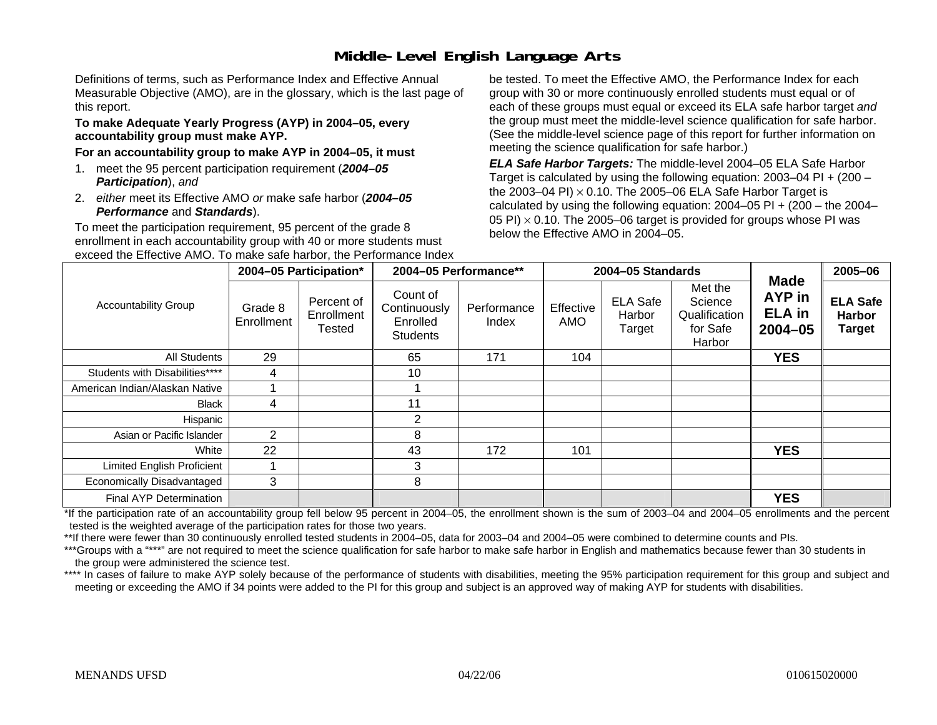# **Middle-Level English Language Arts**

Definitions of terms, such as Performance Index and Effective Annual Measurable Objective (AMO), are in the glossary, which is the last page of this report.

#### **To make Adequate Yearly Progress (AYP) in 2004–05, every accountability group must make AYP.**

#### **For an accountability group to make AYP in 2004–05, it must**

- 1. meet the 95 percent participation requirement (*2004–05 Participation*), *and*
- 2. *either* meet its Effective AMO *or* make safe harbor (*2004–05 Performance* and *Standards*).

To meet the participation requirement, 95 percent of the grade 8 enrollment in each accountability group with 40 or more students must exceed the Effective AMO. To make safe harbor, the Performance Index be tested. To meet the Effective AMO, the Performance Index for each group with 30 or more continuously enrolled students must equal or of each of these groups must equal or exceed its ELA safe harbor target *and* the group must meet the middle-level science qualification for safe harbor. (See the middle-level science page of this report for further information on meeting the science qualification for safe harbor.)

*ELA Safe Harbor Targets:* The middle-level 2004–05 ELA Safe Harbor Target is calculated by using the following equation: 2003–04 PI + (200 – the 2003–04 PI) <sup>×</sup> 0.10. The 2005–06 ELA Safe Harbor Target is calculated by using the following equation:  $2004-05$  PI +  $(200 -$  the  $2004-$ 05 PI)  $\times$  0.10. The 2005–06 target is provided for groups whose PI was below the Effective AMO in 2004–05.

|                                | 2004-05 Participation* |                                    | 2004-05 Performance**                                   |                      |                  | 2004-05 Standards                   |                                                           | 2005-06                                               |                                                   |
|--------------------------------|------------------------|------------------------------------|---------------------------------------------------------|----------------------|------------------|-------------------------------------|-----------------------------------------------------------|-------------------------------------------------------|---------------------------------------------------|
| <b>Accountability Group</b>    | Grade 8<br>Enrollment  | Percent of<br>Enrollment<br>Tested | Count of<br>Continuously<br>Enrolled<br><b>Students</b> | Performance<br>Index | Effective<br>AMO | <b>ELA Safe</b><br>Harbor<br>Target | Met the<br>Science<br>Qualification<br>for Safe<br>Harbor | <b>Made</b><br>AYP in<br><b>ELA</b> in<br>$2004 - 05$ | <b>ELA Safe</b><br><b>Harbor</b><br><b>Target</b> |
| All Students                   | 29                     |                                    | 65                                                      | 171                  | 104              |                                     |                                                           | <b>YES</b>                                            |                                                   |
| Students with Disabilities**** | 4                      |                                    | 10                                                      |                      |                  |                                     |                                                           |                                                       |                                                   |
| American Indian/Alaskan Native |                        |                                    |                                                         |                      |                  |                                     |                                                           |                                                       |                                                   |
| <b>Black</b>                   | 4                      |                                    | 11                                                      |                      |                  |                                     |                                                           |                                                       |                                                   |
| Hispanic                       |                        |                                    | 2                                                       |                      |                  |                                     |                                                           |                                                       |                                                   |
| Asian or Pacific Islander      | $\overline{2}$         |                                    | 8                                                       |                      |                  |                                     |                                                           |                                                       |                                                   |
| White                          | 22                     |                                    | 43                                                      | 172                  | 101              |                                     |                                                           | <b>YES</b>                                            |                                                   |
| Limited English Proficient     |                        |                                    | 3                                                       |                      |                  |                                     |                                                           |                                                       |                                                   |
| Economically Disadvantaged     | 3                      |                                    | 8                                                       |                      |                  |                                     |                                                           |                                                       |                                                   |
| Final AYP Determination        |                        |                                    |                                                         |                      |                  |                                     |                                                           | <b>YES</b>                                            |                                                   |

\*If the participation rate of an accountability group fell below 95 percent in 2004–05, the enrollment shown is the sum of 2003–04 and 2004–05 enrollments and the percent tested is the weighted average of the participation rates for those two years.

\*\*If there were fewer than 30 continuously enrolled tested students in 2004–05, data for 2003–04 and 2004–05 were combined to determine counts and PIs.

\*\*\*Groups with a "\*\*\*" are not required to meet the science qualification for safe harbor to make safe harbor in English and mathematics because fewer than 30 students in the group were administered the science test.

\*\*\*\* In cases of failure to make AYP solely because of the performance of students with disabilities, meeting the 95% participation requirement for this group and subject and meeting or exceeding the AMO if 34 points were added to the PI for this group and subject is an approved way of making AYP for students with disabilities.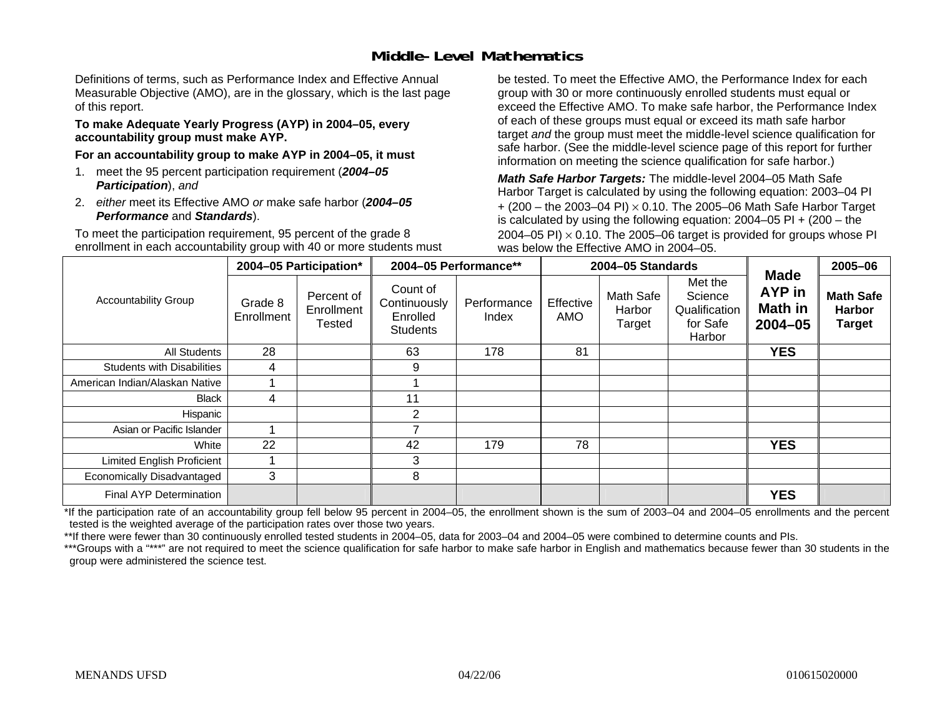## **Middle-Level Mathematics**

Definitions of terms, such as Performance Index and Effective Annual Measurable Objective (AMO), are in the glossary, which is the last page of this report.

#### **To make Adequate Yearly Progress (AYP) in 2004–05, every accountability group must make AYP.**

**For an accountability group to make AYP in 2004–05, it must** 

- 1. meet the 95 percent participation requirement (*2004–05 Participation*), *and*
- 2. *either* meet its Effective AMO *or* make safe harbor (*2004–05 Performance* and *Standards*).

To meet the participation requirement, 95 percent of the grade 8 enrollment in each accountability group with 40 or more students must be tested. To meet the Effective AMO, the Performance Index for each group with 30 or more continuously enrolled students must equal or exceed the Effective AMO. To make safe harbor, the Performance Index of each of these groups must equal or exceed its math safe harbor target *and* the group must meet the middle-level science qualification for safe harbor. (See the middle-level science page of this report for further information on meeting the science qualification for safe harbor.)

*Math Safe Harbor Targets:* The middle-level 2004–05 Math Safe Harbor Target is calculated by using the following equation: 2003–04 PI + (200 – the 2003–04 PI) <sup>×</sup> 0.10. The 2005–06 Math Safe Harbor Target is calculated by using the following equation: 2004–05 PI + (200 – the 2004–05 PI)  $\times$  0.10. The 2005–06 target is provided for groups whose PI was below the Effective AMO in 2004–05.

|                                   |                       | 2004-05 Participation*                    |                                                         | 2004-05 Performance** |                  | 2004-05 Standards             |                                                           | 2005-06                                                       |                                                    |
|-----------------------------------|-----------------------|-------------------------------------------|---------------------------------------------------------|-----------------------|------------------|-------------------------------|-----------------------------------------------------------|---------------------------------------------------------------|----------------------------------------------------|
| <b>Accountability Group</b>       | Grade 8<br>Enrollment | Percent of<br>Enrollment<br><b>Tested</b> | Count of<br>Continuously<br>Enrolled<br><b>Students</b> | Performance<br>Index  | Effective<br>AMO | Math Safe<br>Harbor<br>Target | Met the<br>Science<br>Qualification<br>for Safe<br>Harbor | <b>Made</b><br><b>AYP</b> in<br><b>Math in</b><br>$2004 - 05$ | <b>Math Safe</b><br><b>Harbor</b><br><b>Target</b> |
| All Students                      | 28                    |                                           | 63                                                      | 178                   | 81               |                               |                                                           | <b>YES</b>                                                    |                                                    |
| <b>Students with Disabilities</b> | 4                     |                                           | 9                                                       |                       |                  |                               |                                                           |                                                               |                                                    |
| American Indian/Alaskan Native    |                       |                                           |                                                         |                       |                  |                               |                                                           |                                                               |                                                    |
| Black                             | 4                     |                                           | 11                                                      |                       |                  |                               |                                                           |                                                               |                                                    |
| Hispanic                          |                       |                                           | 2                                                       |                       |                  |                               |                                                           |                                                               |                                                    |
| Asian or Pacific Islander         |                       |                                           |                                                         |                       |                  |                               |                                                           |                                                               |                                                    |
| White                             | 22                    |                                           | 42                                                      | 179                   | 78               |                               |                                                           | <b>YES</b>                                                    |                                                    |
| Limited English Proficient        |                       |                                           | 3                                                       |                       |                  |                               |                                                           |                                                               |                                                    |
| Economically Disadvantaged        | 3                     |                                           | 8                                                       |                       |                  |                               |                                                           |                                                               |                                                    |
| <b>Final AYP Determination</b>    |                       |                                           |                                                         |                       |                  |                               |                                                           | <b>YES</b>                                                    |                                                    |

\*If the participation rate of an accountability group fell below 95 percent in 2004–05, the enrollment shown is the sum of 2003–04 and 2004–05 enrollments and the percent tested is the weighted average of the participation rates over those two years.

\*\*If there were fewer than 30 continuously enrolled tested students in 2004–05, data for 2003–04 and 2004–05 were combined to determine counts and PIs.

\*\*\*Groups with a "\*\*\*" are not required to meet the science qualification for safe harbor to make safe harbor in English and mathematics because fewer than 30 students in the group were administered the science test.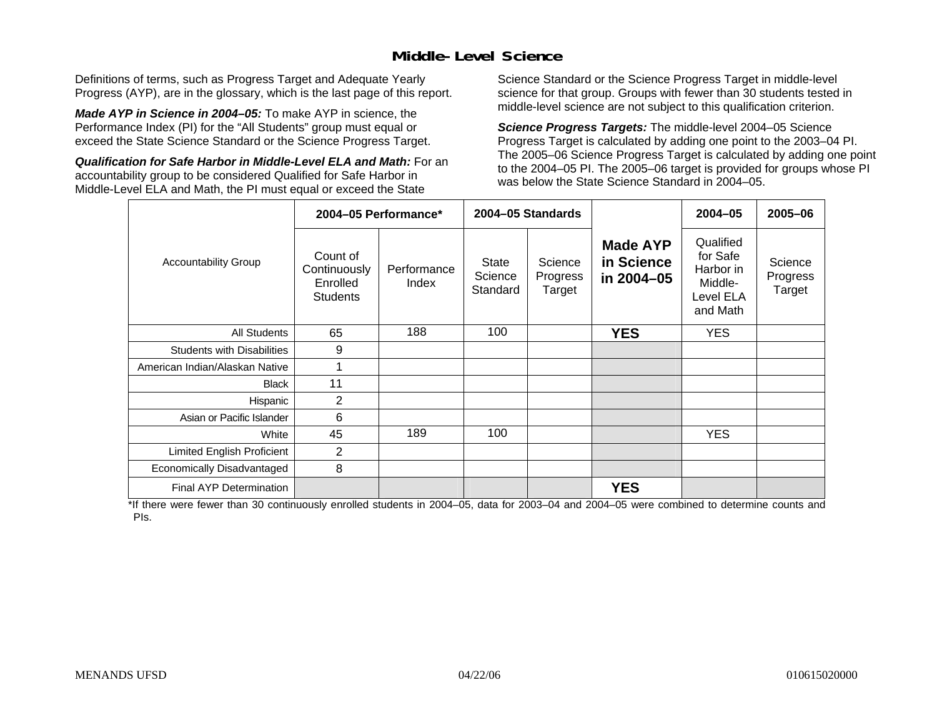## **Middle-Level Science**

Definitions of terms, such as Progress Target and Adequate Yearly Progress (AYP), are in the glossary, which is the last page of this report.

*Made AYP in Science in 2004–05:* To make AYP in science, the Performance Index (PI) for the "All Students" group must equal or exceed the State Science Standard or the Science Progress Target.

*Qualification for Safe Harbor in Middle-Level ELA and Math:* For an accountability group to be considered Qualified for Safe Harbor in Middle-Level ELA and Math, the PI must equal or exceed the State

Science Standard or the Science Progress Target in middle-level science for that group. Groups with fewer than 30 students tested in middle-level science are not subject to this qualification criterion.

*Science Progress Targets:* The middle-level 2004–05 Science Progress Target is calculated by adding one point to the 2003–04 PI. The 2005–06 Science Progress Target is calculated by adding one point to the 2004–05 PI. The 2005–06 target is provided for groups whose PI was below the State Science Standard in 2004–05.

|                                   |                                                         | 2004-05 Performance* |                                     | 2004-05 Standards             |                                             | $2004 - 05$                                                            | 2005-06                       |
|-----------------------------------|---------------------------------------------------------|----------------------|-------------------------------------|-------------------------------|---------------------------------------------|------------------------------------------------------------------------|-------------------------------|
| <b>Accountability Group</b>       | Count of<br>Continuously<br>Enrolled<br><b>Students</b> | Performance<br>Index | <b>State</b><br>Science<br>Standard | Science<br>Progress<br>Target | <b>Made AYP</b><br>in Science<br>in 2004-05 | Qualified<br>for Safe<br>Harbor in<br>Middle-<br>Level ELA<br>and Math | Science<br>Progress<br>Target |
| <b>All Students</b>               | 65                                                      | 188                  | 100                                 |                               | <b>YES</b>                                  | <b>YES</b>                                                             |                               |
| <b>Students with Disabilities</b> | 9                                                       |                      |                                     |                               |                                             |                                                                        |                               |
| American Indian/Alaskan Native    | 1                                                       |                      |                                     |                               |                                             |                                                                        |                               |
| <b>Black</b>                      | 11                                                      |                      |                                     |                               |                                             |                                                                        |                               |
| Hispanic                          | $\overline{2}$                                          |                      |                                     |                               |                                             |                                                                        |                               |
| Asian or Pacific Islander         | 6                                                       |                      |                                     |                               |                                             |                                                                        |                               |
| White                             | 45                                                      | 189                  | 100                                 |                               |                                             | <b>YES</b>                                                             |                               |
| Limited English Proficient        | 2                                                       |                      |                                     |                               |                                             |                                                                        |                               |
| Economically Disadvantaged        | 8                                                       |                      |                                     |                               |                                             |                                                                        |                               |
| <b>Final AYP Determination</b>    |                                                         |                      |                                     |                               | <b>YES</b>                                  |                                                                        |                               |

\*If there were fewer than 30 continuously enrolled students in 2004–05, data for 2003–04 and 2004–05 were combined to determine counts and PIs.